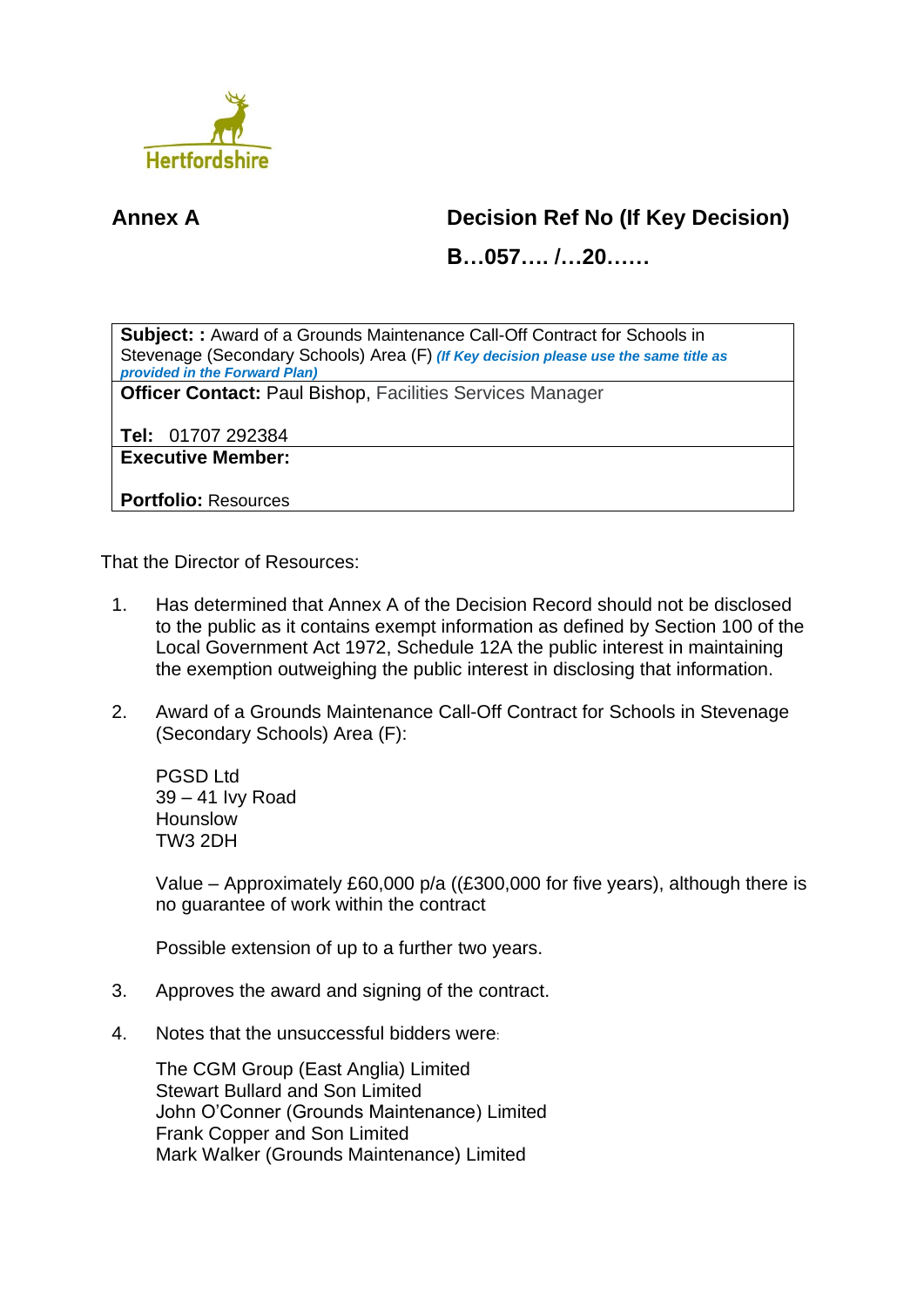

## **Annex A Decision Ref No (If Key Decision)**

**B…057…. /…20……**

**Subject: :** Award of a Grounds Maintenance Call-Off Contract for Schools in Stevenage (Secondary Schools) Area (F) *(If Key decision please use the same title as provided in the Forward Plan)*

**Officer Contact:** Paul Bishop, Facilities Services Manager

**Tel:** 01707 292384

**Executive Member:**

**Portfolio:** Resources

That the Director of Resources:

- 1. Has determined that Annex A of the Decision Record should not be disclosed to the public as it contains exempt information as defined by Section 100 of the Local Government Act 1972, Schedule 12A the public interest in maintaining the exemption outweighing the public interest in disclosing that information.
- 2. Award of a Grounds Maintenance Call-Off Contract for Schools in Stevenage (Secondary Schools) Area (F):

PGSD Ltd 39 – 41 Ivy Road Hounslow TW3 2DH

Value – Approximately £60,000 p/a ((£300,000 for five years), although there is no guarantee of work within the contract

Possible extension of up to a further two years.

- 3. Approves the award and signing of the contract.
- 4. Notes that the unsuccessful bidders were:

The CGM Group (East Anglia) Limited Stewart Bullard and Son Limited John O'Conner (Grounds Maintenance) Limited Frank Copper and Son Limited Mark Walker (Grounds Maintenance) Limited